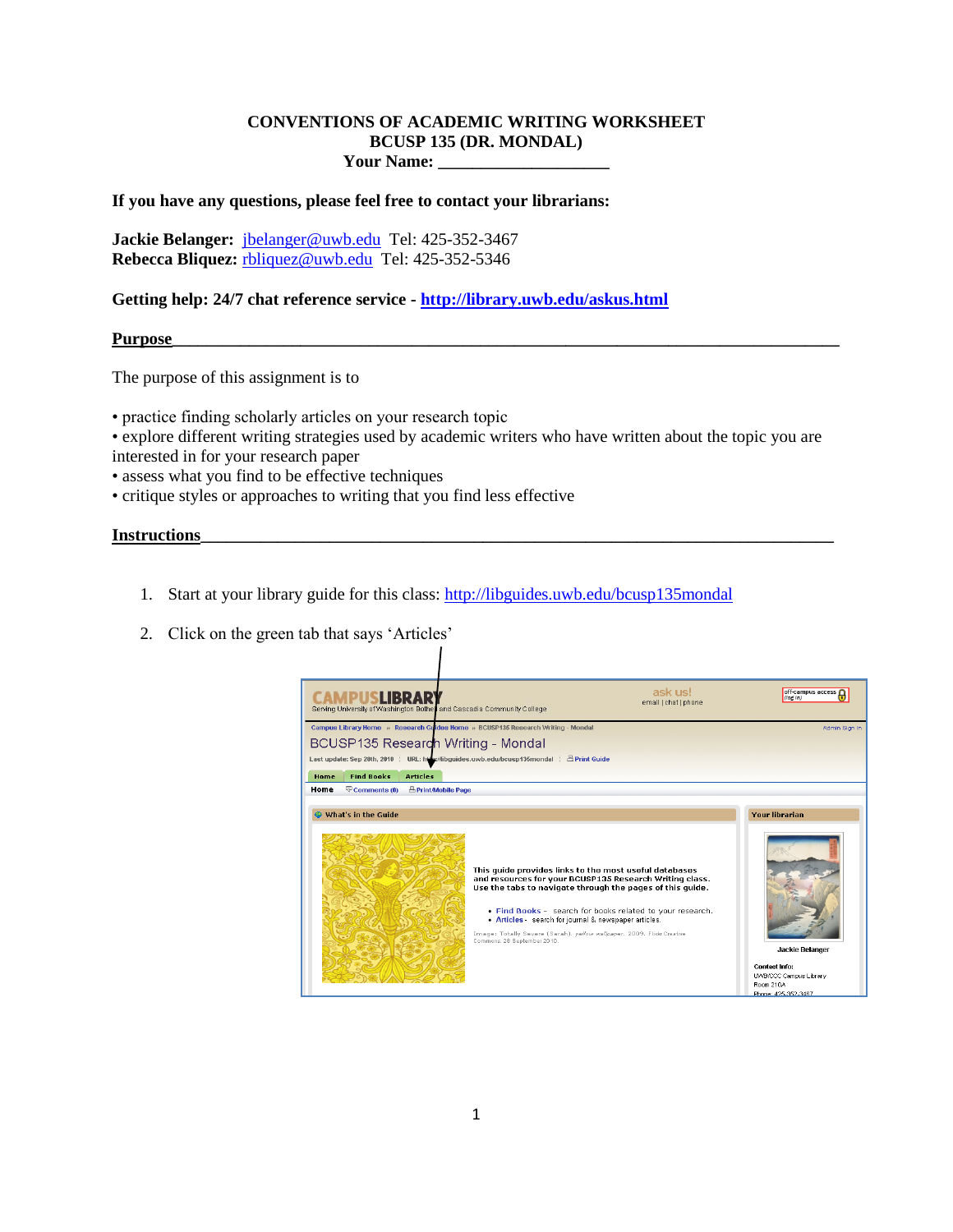#### **CONVENTIONS OF ACADEMIC WRITING WORKSHEET BCUSP 135 (DR. MONDAL) Your Name: \_\_\_\_\_\_\_\_\_\_\_\_\_\_\_\_\_\_\_\_**

#### **If you have any questions, please feel free to contact your librarians:**

Jackie Belanger: *[jbelanger@uwb.edu](mailto:jbelanger@uwb.edu) Tel: 425-352-3467* **Rebecca Bliquez:** [rbliquez@uwb.edu](mailto:rbliquez@uwb.edu) Tel: 425-352-5346

**Getting help: 24/7 chat reference service - <http://library.uwb.edu/askus.html>**

**Purpose\_\_\_\_\_\_\_\_\_\_\_\_\_\_\_\_\_\_\_\_\_\_\_\_\_\_\_\_\_\_\_\_\_\_\_\_\_\_\_\_\_\_\_\_\_\_\_\_\_\_\_\_\_\_\_\_\_\_\_\_\_\_\_\_\_\_\_\_\_\_\_\_\_\_\_\_\_\_**

The purpose of this assignment is to

• practice finding scholarly articles on your research topic

• explore different writing strategies used by academic writers who have written about the topic you are interested in for your research paper

- assess what you find to be effective techniques
- critique styles or approaches to writing that you find less effective

**Instructions** 

- 1. Start at your library guide for this class:<http://libguides.uwb.edu/bcusp135mondal>
- 2. Click on the green tab that says 'Articles'

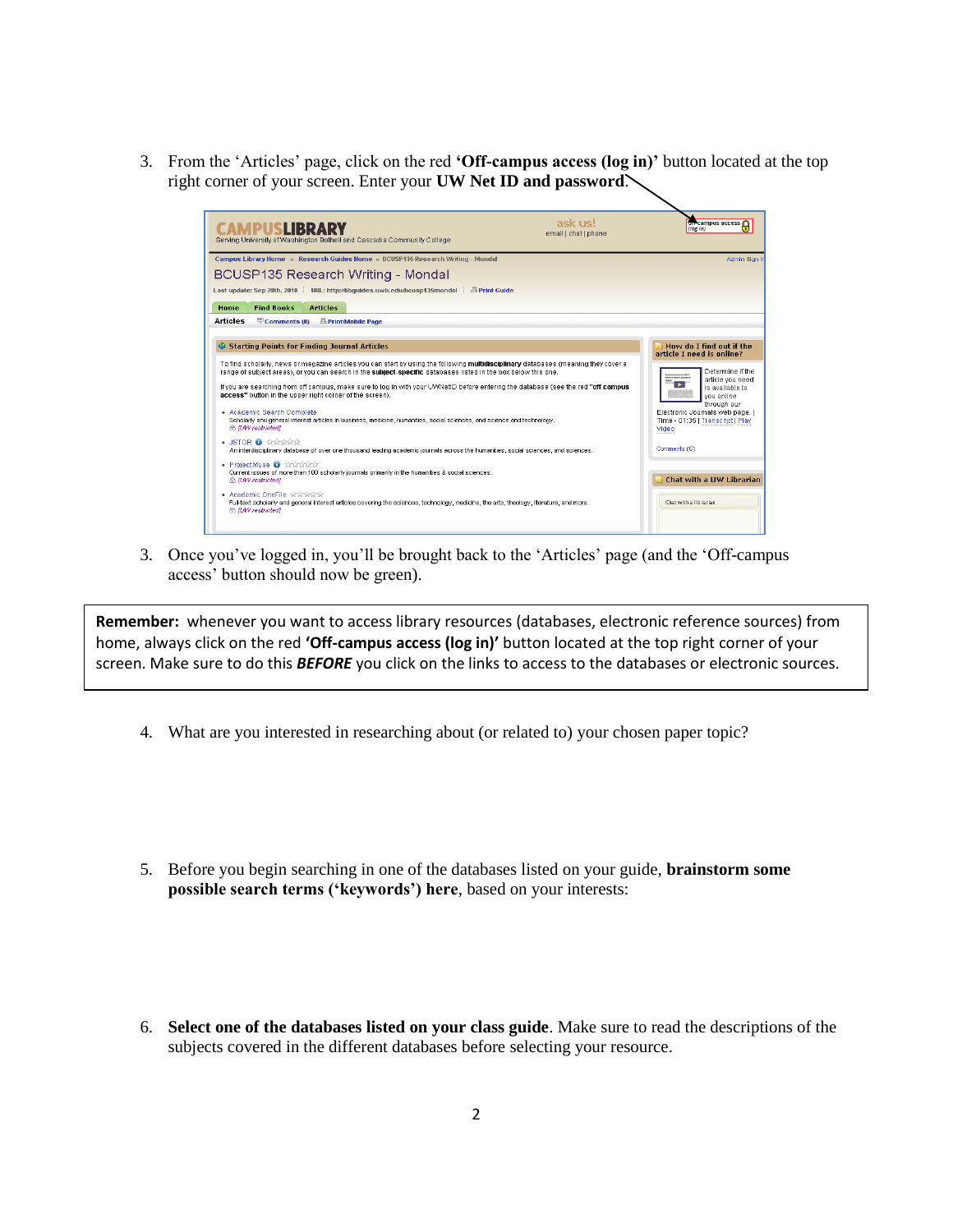3. From the 'Articles' page, click on the red **'Off-campus access (log in)'** button located at the top right corner of your screen. Enter your **UW Net ID and password**.

| AMPUSLIBRARY<br>Serving University of Washington Bothell and Cascadia Community College                                                                                                                                                               | ask us!<br>email I chat I phone | of campus access<br>(log in)                                                                |
|-------------------------------------------------------------------------------------------------------------------------------------------------------------------------------------------------------------------------------------------------------|---------------------------------|---------------------------------------------------------------------------------------------|
| Campus Library Home » Research Guides Home » BCUSP135 Research Writing - Mondal                                                                                                                                                                       |                                 | Admin Sign In                                                                               |
| BCUSP135 Research Writing - Mondal                                                                                                                                                                                                                    |                                 |                                                                                             |
| Last update: Sep 28th, 2010   URL: http://libguides.uwb.edu/bcusp135mondal   APrint Guide                                                                                                                                                             |                                 |                                                                                             |
| <b>Find Books</b><br><b>Articles</b><br>Home                                                                                                                                                                                                          |                                 |                                                                                             |
| <b>Articles</b><br>$\overline{\nabla}$ Comments (0)<br><b><u>A</u></b> Print/Mobile Page                                                                                                                                                              |                                 |                                                                                             |
|                                                                                                                                                                                                                                                       |                                 |                                                                                             |
| <b>Starting Points for Finding Journal Articles</b>                                                                                                                                                                                                   |                                 | How do I find out if the<br>article I need is online?                                       |
| To find scholarly, news or magazine articles you can start by using the following multidisciplinary databases (meaning they cover a<br>range of subject areas), or you can search in the subject-specific databases listed in the box below this one. |                                 | Determine if the<br>article you need                                                        |
| If you are searching from off campus, make sure to log in with your UWNetID before entering the database (see the red "off campus<br>access" button in the upper right corner of the screen).                                                         |                                 | is available to<br>vou online                                                               |
| - Academic Search Complete<br>Scholarly and general interest articles in business, medicine, humanities, social sciences, and science and technology,<br><b>A JUW</b> restricted]                                                                     |                                 | through our<br>Electronic Journals web page.  <br>Time - 01:35   Transcript   Play<br>Video |
| $\bullet$ JSTOR $\bullet$ thinking<br>An interdisciplinary database of over one thousand leading academic journals across the humanities, social sciences, and sciences.                                                                              |                                 | Comments (0)                                                                                |
| • Project Muse @ AnAnAnAn<br>Current issues of more than 100 scholarly journals primarily in the humanities & social sciences.<br><b>A JUW restricted]</b>                                                                                            |                                 | Chat with a UW Librarian                                                                    |
| • Academic OneFile sininininin<br>Full-text scholarly and general interest articles covering the sciences, technology, medicine, the arts, theology, literature, and more.<br><b>A JUW</b> restricted]                                                |                                 | Chat with a librarian                                                                       |
|                                                                                                                                                                                                                                                       |                                 |                                                                                             |

3. Once you've logged in, you'll be brought back to the 'Articles' page (and the 'Off-campus access' button should now be green).

**Remember:** whenever you want to access library resources (databases, electronic reference sources) from home, always click on the red **'Off-campus access (log in)'** button located at the top right corner of your screen. Make sure to do this *BEFORE* you click on the links to access to the databases or electronic sources.

- 4. What are you interested in researching about (or related to) your chosen paper topic?
- 5. Before you begin searching in one of the databases listed on your guide, **brainstorm some possible search terms ('keywords') here**, based on your interests:
- 6. **Select one of the databases listed on your class guide**. Make sure to read the descriptions of the subjects covered in the different databases before selecting your resource.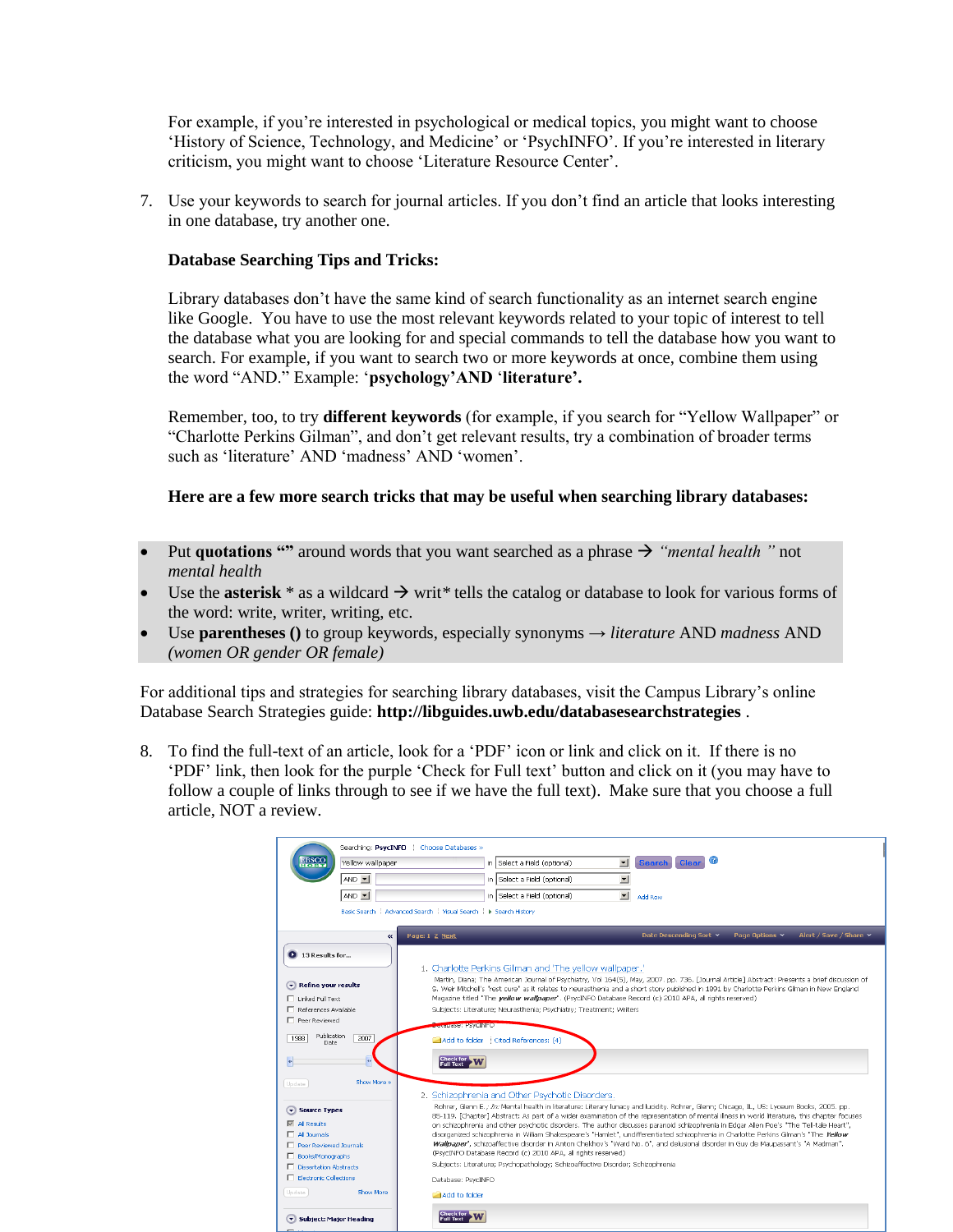For example, if you're interested in psychological or medical topics, you might want to choose 'History of Science, Technology, and Medicine' or 'PsychINFO'. If you're interested in literary criticism, you might want to choose 'Literature Resource Center'.

7. Use your keywords to search for journal articles. If you don't find an article that looks interesting in one database, try another one.

# **Database Searching Tips and Tricks:**

Library databases don't have the same kind of search functionality as an internet search engine like Google. You have to use the most relevant keywords related to your topic of interest to tell the database what you are looking for and special commands to tell the database how you want to search. For example, if you want to search two or more keywords at once, combine them using the word "AND." Example: '**psychology'AND** '**literature'.**

Remember, too, to try **different keywords** (for example, if you search for "Yellow Wallpaper" or "Charlotte Perkins Gilman", and don't get relevant results, try a combination of broader terms such as 'literature' AND 'madness' AND 'women'.

## **Here are a few more search tricks that may be useful when searching library databases:**

- Put **quotations** "" around words that you want searched as a phrase  $\rightarrow$  "*mental health*" not *mental health*
- Use the **asterisk** \* as a wildcard  $\rightarrow$  writ<sup>\*</sup> tells the catalog or database to look for various forms of the word: write, writer, writing, etc.
- Use **parentheses ()** to group keywords, especially synonyms **→** *literature* AND *madness* AND *(women OR gender OR female)*

For additional tips and strategies for searching library databases, visit the Campus Library's online Database Search Strategies guide: **http://libguides.uwb.edu/databasesearchstrategies** .

8. To find the full-text of an article, look for a 'PDF' icon or link and click on it. If there is no 'PDF' link, then look for the purple 'Check for Full text' button and click on it (you may have to follow a couple of links through to see if we have the full text). Make sure that you choose a full article, NOT a review.

|                                                                 |                                                                                                                                                                                                                                                                                | Searching: PsycINFO   Choose Databases >>                                                                                                                                                                                                                                                |  |  |
|-----------------------------------------------------------------|--------------------------------------------------------------------------------------------------------------------------------------------------------------------------------------------------------------------------------------------------------------------------------|------------------------------------------------------------------------------------------------------------------------------------------------------------------------------------------------------------------------------------------------------------------------------------------|--|--|
| <b>EBSCO</b>                                                    | Yellow wallpaper                                                                                                                                                                                                                                                               | Q.<br>$\blacktriangledown$<br><b>Search</b><br>Clear<br>in Select a Field (optional)                                                                                                                                                                                                     |  |  |
|                                                                 | $AND -$                                                                                                                                                                                                                                                                        | $\overline{\phantom{a}}$<br>in Select a Field (optional)                                                                                                                                                                                                                                 |  |  |
|                                                                 | $AND =$                                                                                                                                                                                                                                                                        | $\blacksquare$<br>in Select a Field (optional)<br>Add Row                                                                                                                                                                                                                                |  |  |
|                                                                 |                                                                                                                                                                                                                                                                                | Basic Search   Advanced Search   Visual Search   ▶ Search History                                                                                                                                                                                                                        |  |  |
|                                                                 |                                                                                                                                                                                                                                                                                |                                                                                                                                                                                                                                                                                          |  |  |
|                                                                 | $\ll$                                                                                                                                                                                                                                                                          | Date Descending Sort Y<br>Page Options Y<br>Alert / Save / Share Y<br>Page: 1 2 Next                                                                                                                                                                                                     |  |  |
| 13 Results for                                                  |                                                                                                                                                                                                                                                                                |                                                                                                                                                                                                                                                                                          |  |  |
|                                                                 |                                                                                                                                                                                                                                                                                | 1. Charlotte Perkins Gilman and 'The vellow wallpaper.'                                                                                                                                                                                                                                  |  |  |
| <b>Refine your results</b><br>$\left( \bigtriangledown \right)$ |                                                                                                                                                                                                                                                                                | Martin, Diana: The American Journal of Psychiatry, Vol 164(5), May, 2007, pp. 736, [Journal Article] Abstract: Presents a brief discussion of                                                                                                                                            |  |  |
|                                                                 | S. Weir Mitchell's "rest cure" as it relates to neurasthenia and a short story published in 1891 by Charlotte Perkins Gilman in New England<br>Magazine titled "The <i>yellow wallpaper</i> ". (PsycINFO Database Record (c) 2010 APA, all rights reserved)<br>Inked Full Text |                                                                                                                                                                                                                                                                                          |  |  |
| References Available                                            |                                                                                                                                                                                                                                                                                | Subjects: Literature; Neurasthenia; Psychiatry; Treatment; Writers                                                                                                                                                                                                                       |  |  |
| Peer Reviewed                                                   |                                                                                                                                                                                                                                                                                |                                                                                                                                                                                                                                                                                          |  |  |
| 1988                                                            | <b>ALCOHOLOGY HEAVEN NEWS</b><br>Publication<br>2007                                                                                                                                                                                                                           |                                                                                                                                                                                                                                                                                          |  |  |
|                                                                 | Add to folder   Cited References: (4)<br>Date                                                                                                                                                                                                                                  |                                                                                                                                                                                                                                                                                          |  |  |
| o                                                               | kb.                                                                                                                                                                                                                                                                            | Check for W                                                                                                                                                                                                                                                                              |  |  |
|                                                                 |                                                                                                                                                                                                                                                                                |                                                                                                                                                                                                                                                                                          |  |  |
| Update                                                          | Show More »                                                                                                                                                                                                                                                                    |                                                                                                                                                                                                                                                                                          |  |  |
|                                                                 |                                                                                                                                                                                                                                                                                | 2. Schizophrenia and Other Psychotic Disorders.                                                                                                                                                                                                                                          |  |  |
| <b>Source Types</b><br>$\left( \bigtriangledown \right)$        |                                                                                                                                                                                                                                                                                | Rohrer, Glenn E.; Jn: Mental health in literature: Literary lunacy and lucidity. Rohrer, Glenn; Chicago, IL, US: Lyceum Books, 2005. pp.<br>85-119. [Chapter] Abstract: As part of a wider examination of the representation of mental illness in world literature, this chapter focuses |  |  |
| M All Results                                                   |                                                                                                                                                                                                                                                                                | on schizophrenia and other psychotic disorders. The author discusses paranoid schizophrenia in Edgar Allen Poe's "The Tell-tale Heart".                                                                                                                                                  |  |  |
| All Journals                                                    |                                                                                                                                                                                                                                                                                | disorganized schizophrenia in William Shakespeare's "Hamlet", undifferentiated schizophrenia in Charlotte Perkins Gilman's "The Yellow                                                                                                                                                   |  |  |
| Peer Reviewed Journals                                          |                                                                                                                                                                                                                                                                                | Wallpaper", schizoaffective disorder in Anton Chekhov's "Ward No. 6", and delusional disorder in Guy de Maupassant's "A Madman".<br>(PsycINFO Database Record (c) 2010 APA, all rights reserved)                                                                                         |  |  |
| □ Books/Monographs<br><b>Dissertation Abstracts</b><br>г.       |                                                                                                                                                                                                                                                                                | Subiects: Literature: Psychopathology: Schizoaffective Disorder: Schizophrenia                                                                                                                                                                                                           |  |  |
| Electronic Collections                                          |                                                                                                                                                                                                                                                                                | Database: PsycINFO                                                                                                                                                                                                                                                                       |  |  |
| Update                                                          | Show More                                                                                                                                                                                                                                                                      |                                                                                                                                                                                                                                                                                          |  |  |
|                                                                 |                                                                                                                                                                                                                                                                                | <b>Cadd</b> to folder                                                                                                                                                                                                                                                                    |  |  |
| Subject: Major Heading                                          |                                                                                                                                                                                                                                                                                | Check for W                                                                                                                                                                                                                                                                              |  |  |
|                                                                 |                                                                                                                                                                                                                                                                                |                                                                                                                                                                                                                                                                                          |  |  |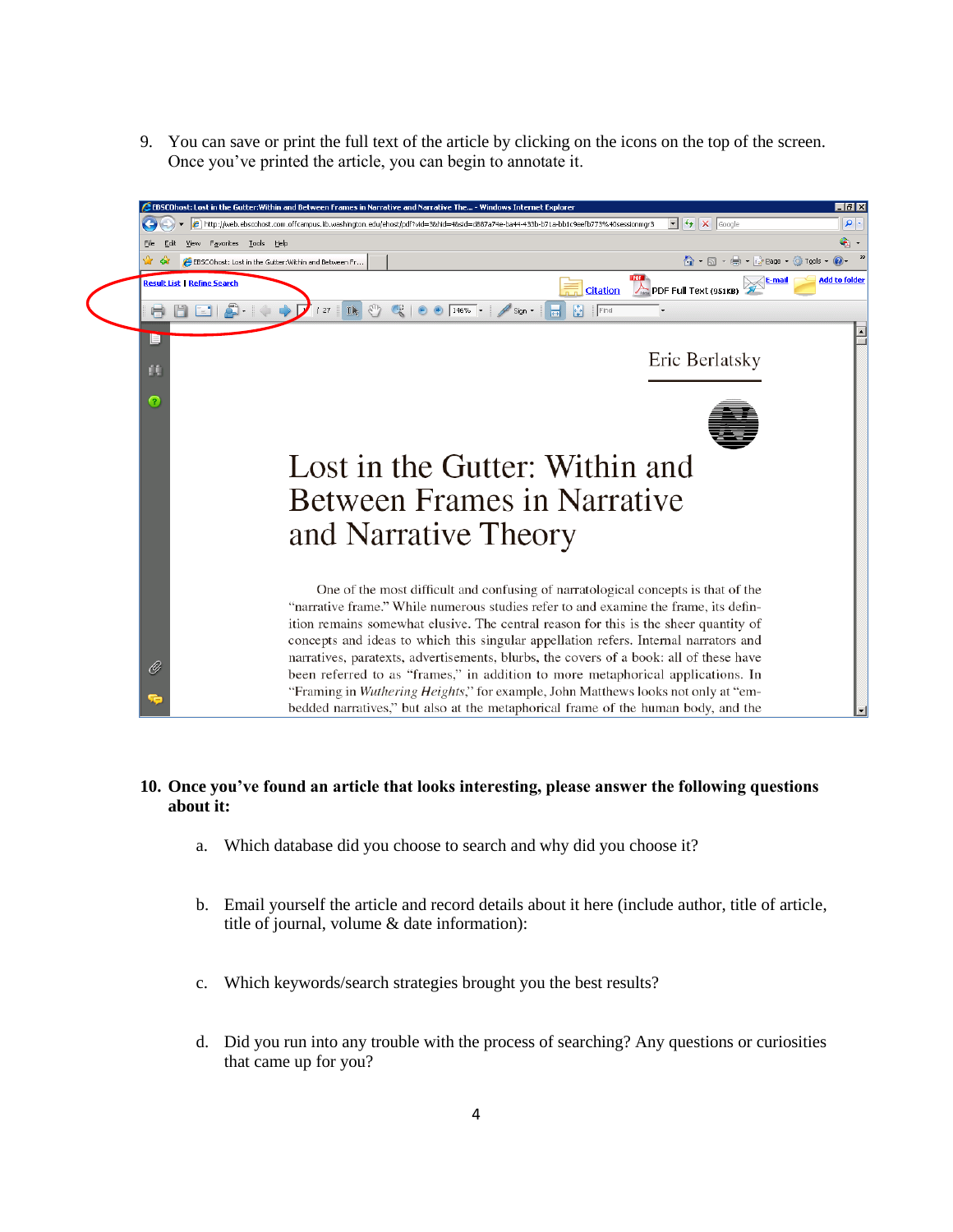9. You can save or print the full text of the article by clicking on the icons on the top of the screen. Once you've printed the article, you can begin to annotate it.



## **10. Once you've found an article that looks interesting, please answer the following questions about it:**

- a. Which database did you choose to search and why did you choose it?
- b. Email yourself the article and record details about it here (include author, title of article, title of journal, volume & date information):
- c. Which keywords/search strategies brought you the best results?
- d. Did you run into any trouble with the process of searching? Any questions or curiosities that came up for you?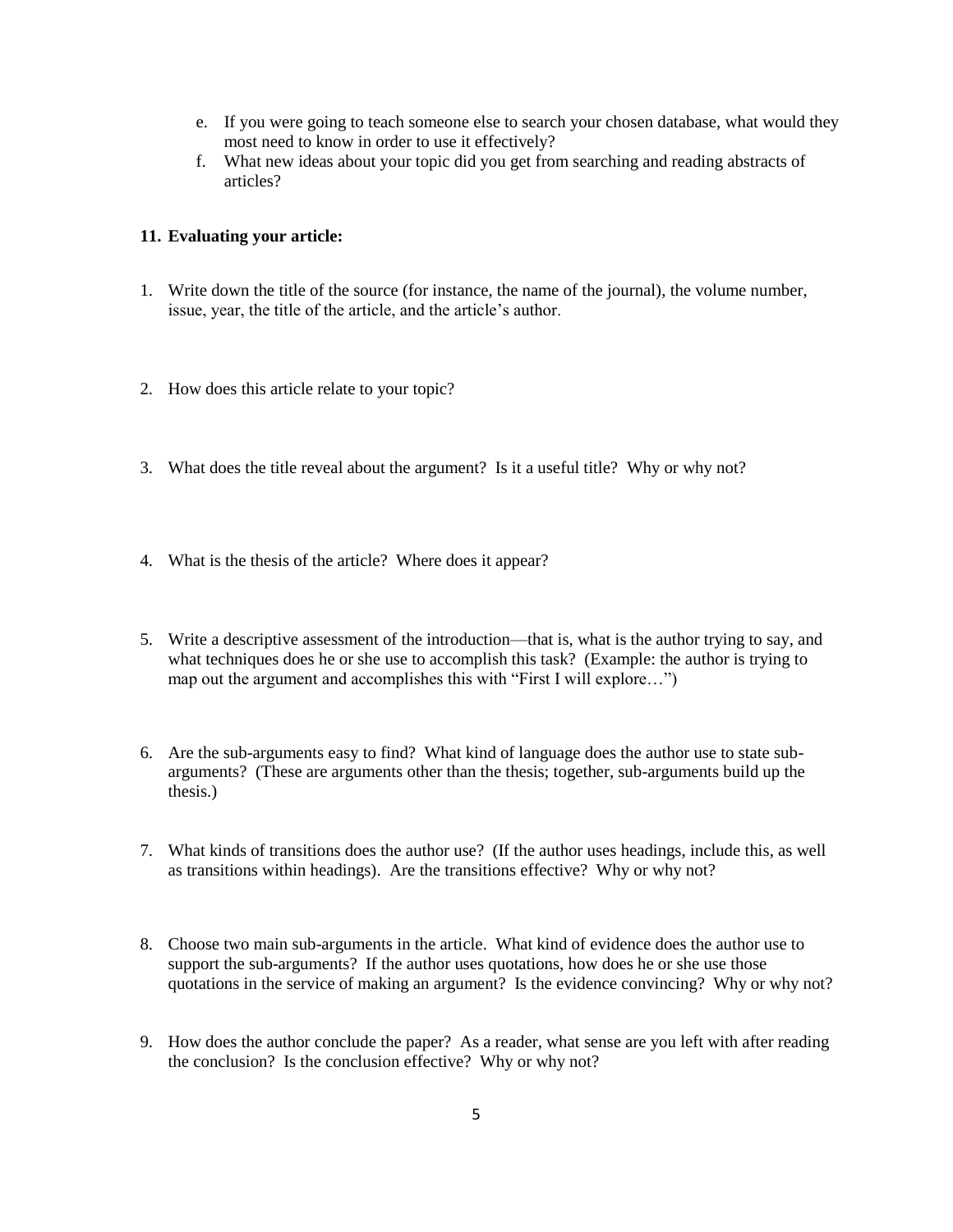- e. If you were going to teach someone else to search your chosen database, what would they most need to know in order to use it effectively?
- f. What new ideas about your topic did you get from searching and reading abstracts of articles?

# **11. Evaluating your article:**

- 1. Write down the title of the source (for instance, the name of the journal), the volume number, issue, year, the title of the article, and the article's author.
- 2. How does this article relate to your topic?
- 3. What does the title reveal about the argument? Is it a useful title? Why or why not?
- 4. What is the thesis of the article? Where does it appear?
- 5. Write a descriptive assessment of the introduction—that is, what is the author trying to say, and what techniques does he or she use to accomplish this task? (Example: the author is trying to map out the argument and accomplishes this with "First I will explore...")
- 6. Are the sub-arguments easy to find? What kind of language does the author use to state subarguments? (These are arguments other than the thesis; together, sub-arguments build up the thesis.)
- 7. What kinds of transitions does the author use? (If the author uses headings, include this, as well as transitions within headings). Are the transitions effective? Why or why not?
- 8. Choose two main sub-arguments in the article. What kind of evidence does the author use to support the sub-arguments? If the author uses quotations, how does he or she use those quotations in the service of making an argument? Is the evidence convincing? Why or why not?
- 9. How does the author conclude the paper? As a reader, what sense are you left with after reading the conclusion? Is the conclusion effective? Why or why not?